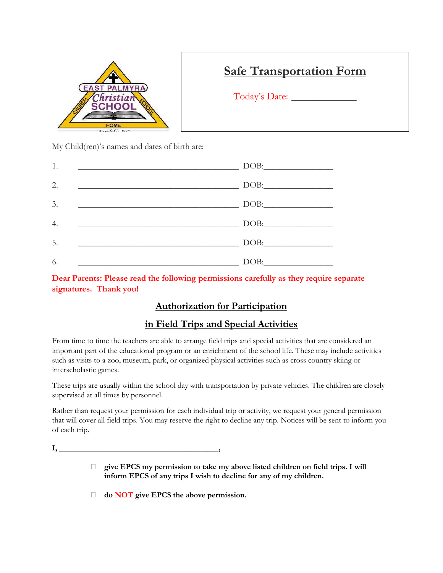

# **Safe Transportation Form**

Today's Date:

My Child(ren)'s names and dates of birth are:

| 1. | DOB: |
|----|------|
| 2. | DOB: |
| 3. | DOB: |
| 4. | DOB: |
| 5. | DOB: |
| 6. | DOB: |

**Dear Parents: Please read the following permissions carefully as they require separate signatures. Thank you!**

# **Authorization for Participation**

# **in Field Trips and Special Activities**

From time to time the teachers are able to arrange field trips and special activities that are considered an important part of the educational program or an enrichment of the school life. These may include activities such as visits to a zoo, museum, park, or organized physical activities such as cross country skiing or interscholastic games.

These trips are usually within the school day with transportation by private vehicles. The children are closely supervised at all times by personnel.

Rather than request your permission for each individual trip or activity, we request your general permission that will cover all field trips. You may reserve the right to decline any trip. Notices will be sent to inform you of each trip.

**I, \_\_\_\_\_\_\_\_\_\_\_\_\_\_\_\_\_\_\_\_\_\_\_\_\_\_\_\_\_\_\_\_\_\_\_\_\_\_\_\_,**

- **give EPCS my permission to take my above listed children on field trips. I will inform EPCS of any trips I wish to decline for any of my children.**
- **do NOT give EPCS the above permission.**